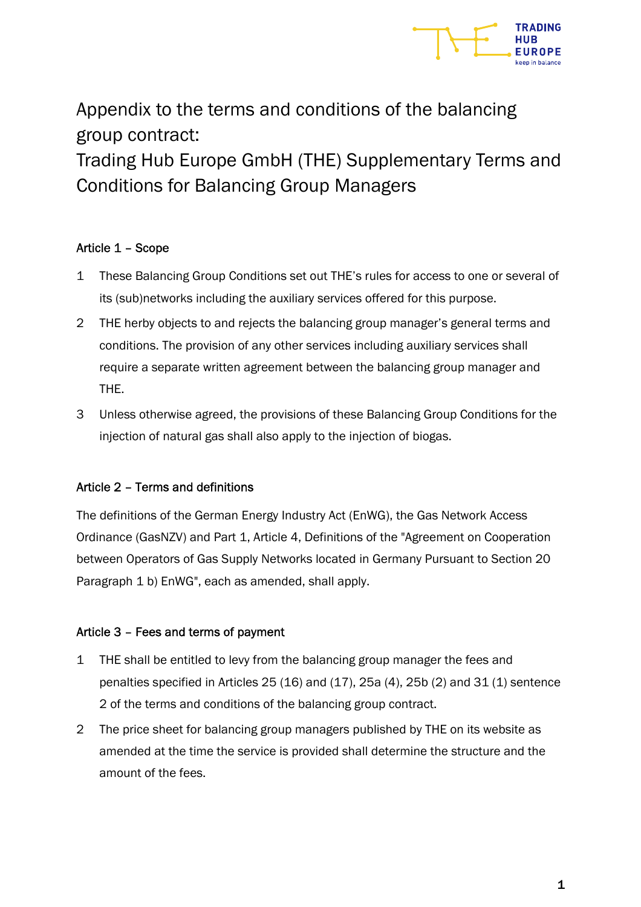

Appendix to the terms and conditions of the balancing group contract:

Trading Hub Europe GmbH (THE) Supplementary Terms and Conditions for Balancing Group Managers

# Article 1 – Scope

- 1 These Balancing Group Conditions set out THE's rules for access to one or several of its (sub)networks including the auxiliary services offered for this purpose.
- 2 THE herby objects to and rejects the balancing group manager's general terms and conditions. The provision of any other services including auxiliary services shall require a separate written agreement between the balancing group manager and THE.
- 3 Unless otherwise agreed, the provisions of these Balancing Group Conditions for the injection of natural gas shall also apply to the injection of biogas.

## Article 2 – Terms and definitions

The definitions of the German Energy Industry Act (EnWG), the Gas Network Access Ordinance (GasNZV) and Part 1, Article 4, Definitions of the "Agreement on Cooperation between Operators of Gas Supply Networks located in Germany Pursuant to Section 20 Paragraph 1 b) EnWG", each as amended, shall apply.

## Article 3 – Fees and terms of payment

- 1 THE shall be entitled to levy from the balancing group manager the fees and penalties specified in Articles 25 (16) and (17), 25a (4), 25b (2) and 31 (1) sentence 2 of the terms and conditions of the balancing group contract.
- 2 The price sheet for balancing group managers published by THE on its website as amended at the time the service is provided shall determine the structure and the amount of the fees.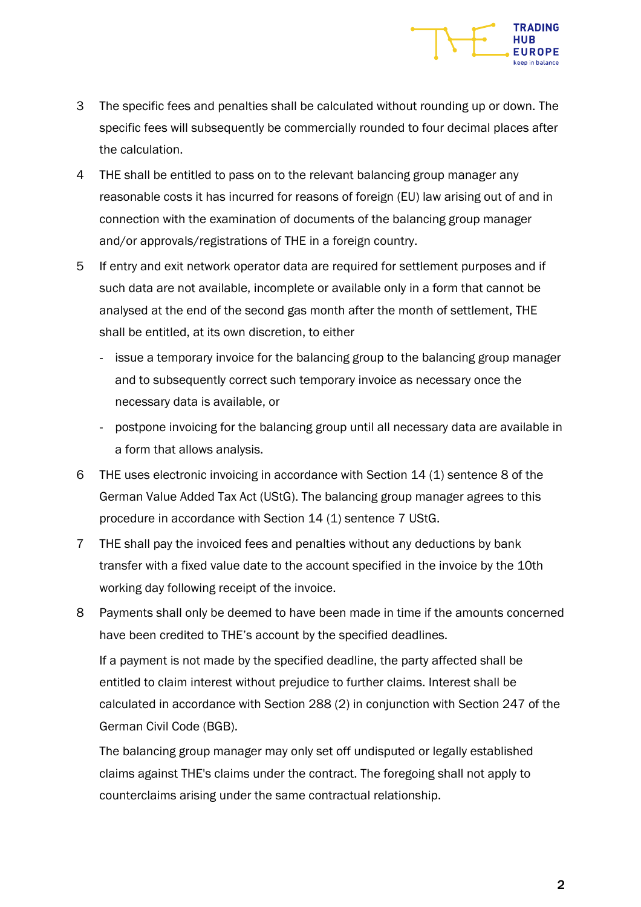

- 3 The specific fees and penalties shall be calculated without rounding up or down. The specific fees will subsequently be commercially rounded to four decimal places after the calculation.
- 4 THE shall be entitled to pass on to the relevant balancing group manager any reasonable costs it has incurred for reasons of foreign (EU) law arising out of and in connection with the examination of documents of the balancing group manager and/or approvals/registrations of THE in a foreign country.
- 5 If entry and exit network operator data are required for settlement purposes and if such data are not available, incomplete or available only in a form that cannot be analysed at the end of the second gas month after the month of settlement, THE shall be entitled, at its own discretion, to either
	- issue a temporary invoice for the balancing group to the balancing group manager and to subsequently correct such temporary invoice as necessary once the necessary data is available, or
	- postpone invoicing for the balancing group until all necessary data are available in a form that allows analysis.
- 6 THE uses electronic invoicing in accordance with Section 14 (1) sentence 8 of the German Value Added Tax Act (UStG). The balancing group manager agrees to this procedure in accordance with Section 14 (1) sentence 7 UStG.
- 7 THE shall pay the invoiced fees and penalties without any deductions by bank transfer with a fixed value date to the account specified in the invoice by the 10th working day following receipt of the invoice.
- 8 Payments shall only be deemed to have been made in time if the amounts concerned have been credited to THE's account by the specified deadlines. If a payment is not made by the specified deadline, the party affected shall be entitled to claim interest without prejudice to further claims. Interest shall be calculated in accordance with Section 288 (2) in conjunction with Section 247 of the German Civil Code (BGB).

The balancing group manager may only set off undisputed or legally established claims against THE's claims under the contract. The foregoing shall not apply to counterclaims arising under the same contractual relationship.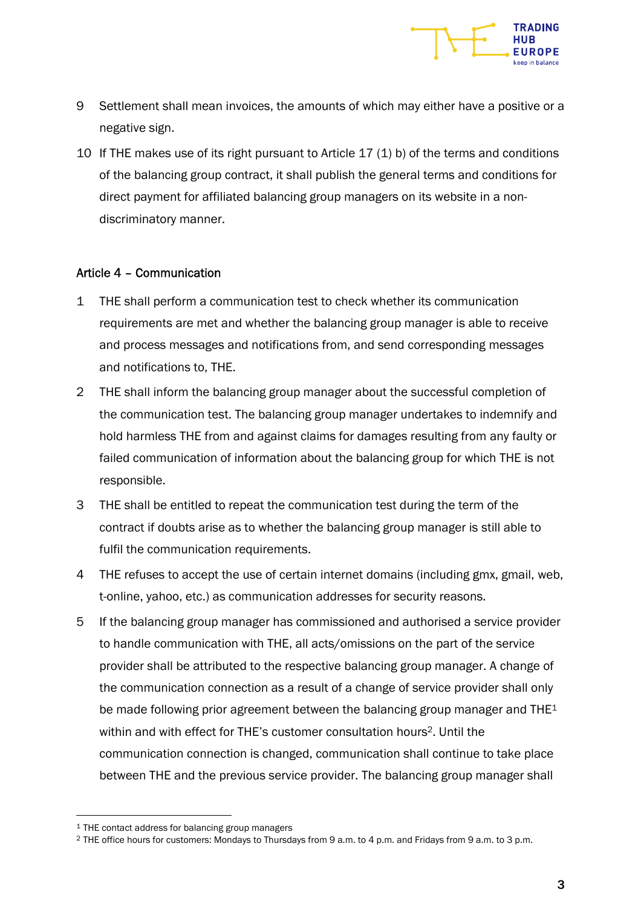

- 9 Settlement shall mean invoices, the amounts of which may either have a positive or a negative sign.
- 10 If THE makes use of its right pursuant to Article 17 (1) b) of the terms and conditions of the balancing group contract, it shall publish the general terms and conditions for direct payment for affiliated balancing group managers on its website in a nondiscriminatory manner.

#### Article 4 – Communication

- 1 THE shall perform a communication test to check whether its communication requirements are met and whether the balancing group manager is able to receive and process messages and notifications from, and send corresponding messages and notifications to, THE.
- 2 THE shall inform the balancing group manager about the successful completion of the communication test. The balancing group manager undertakes to indemnify and hold harmless THE from and against claims for damages resulting from any faulty or failed communication of information about the balancing group for which THE is not responsible.
- 3 THE shall be entitled to repeat the communication test during the term of the contract if doubts arise as to whether the balancing group manager is still able to fulfil the communication requirements.
- 4 THE refuses to accept the use of certain internet domains (including gmx, gmail, web, t-online, yahoo, etc.) as communication addresses for security reasons.
- 5 If the balancing group manager has commissioned and authorised a service provider to handle communication with THE, all acts/omissions on the part of the service provider shall be attributed to the respective balancing group manager. A change of the communication connection as a result of a change of service provider shall only be made following prior agreement between the balancing group manager and THE<sup>1</sup> within and with effect for THE's customer consultation hours<sup>2</sup>. Until the communication connection is changed, communication shall continue to take place between THE and the previous service provider. The balancing group manager shall

<sup>&</sup>lt;sup>1</sup> THE contact address for balancing group managers

<sup>2</sup> THE office hours for customers: Mondays to Thursdays from 9 a.m. to 4 p.m. and Fridays from 9 a.m. to 3 p.m.